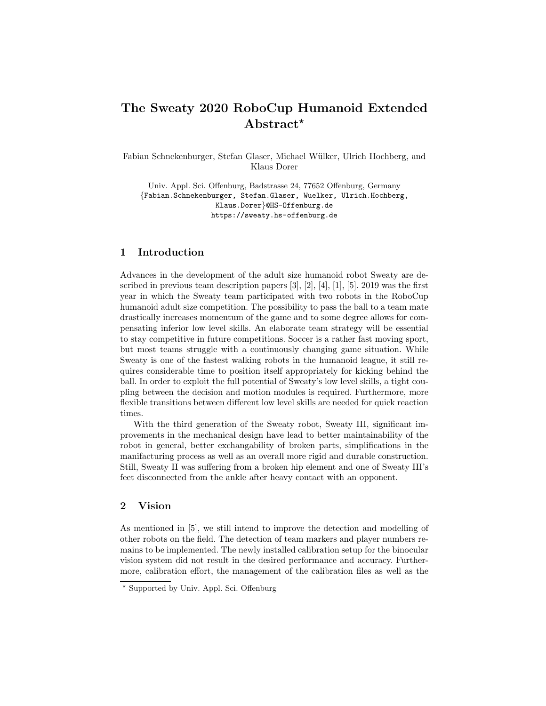# The Sweaty 2020 RoboCup Humanoid Extended Abstract<sup>\*</sup>

Fabian Schnekenburger, Stefan Glaser, Michael Wülker, Ulrich Hochberg, and Klaus Dorer

Univ. Appl. Sci. Offenburg, Badstrasse 24, 77652 Offenburg, Germany {Fabian.Schnekenburger, Stefan.Glaser, Wuelker, Ulrich.Hochberg, Klaus.Dorer}@HS-Offenburg.de https://sweaty.hs-offenburg.de

## 1 Introduction

Advances in the development of the adult size humanoid robot Sweaty are described in previous team description papers [3], [2], [4], [1], [5]. 2019 was the first year in which the Sweaty team participated with two robots in the RoboCup humanoid adult size competition. The possibility to pass the ball to a team mate drastically increases momentum of the game and to some degree allows for compensating inferior low level skills. An elaborate team strategy will be essential to stay competitive in future competitions. Soccer is a rather fast moving sport, but most teams struggle with a continuously changing game situation. While Sweaty is one of the fastest walking robots in the humanoid league, it still requires considerable time to position itself appropriately for kicking behind the ball. In order to exploit the full potential of Sweaty's low level skills, a tight coupling between the decision and motion modules is required. Furthermore, more flexible transitions between different low level skills are needed for quick reaction times.

With the third generation of the Sweaty robot, Sweaty III, significant improvements in the mechanical design have lead to better maintainability of the robot in general, better exchangability of broken parts, simplifications in the manifacturing process as well as an overall more rigid and durable construction. Still, Sweaty II was suffering from a broken hip element and one of Sweaty III's feet disconnected from the ankle after heavy contact with an opponent.

#### 2 Vision

As mentioned in [5], we still intend to improve the detection and modelling of other robots on the field. The detection of team markers and player numbers remains to be implemented. The newly installed calibration setup for the binocular vision system did not result in the desired performance and accuracy. Furthermore, calibration effort, the management of the calibration files as well as the

<sup>?</sup> Supported by Univ. Appl. Sci. Offenburg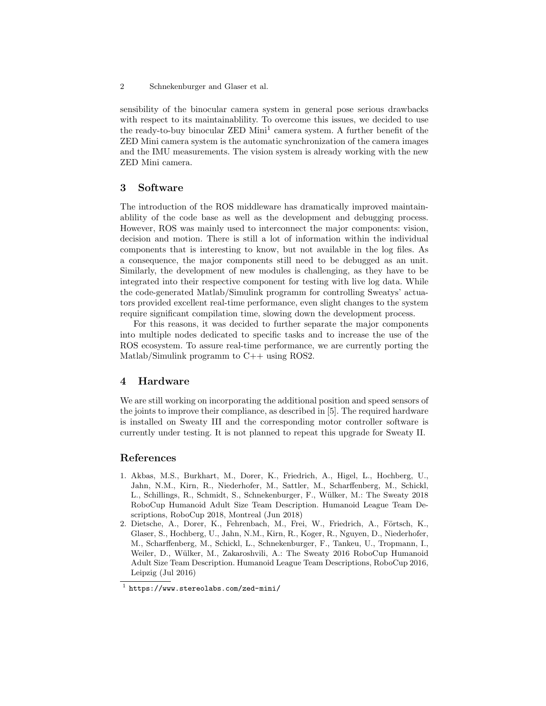sensibility of the binocular camera system in general pose serious drawbacks with respect to its maintainablility. To overcome this issues, we decided to use the ready-to-buy binocular ZED Mini<sup>1</sup> camera system. A further benefit of the ZED Mini camera system is the automatic synchronization of the camera images and the IMU measurements. The vision system is already working with the new ZED Mini camera.

#### 3 Software

The introduction of the ROS middleware has dramatically improved maintainablility of the code base as well as the development and debugging process. However, ROS was mainly used to interconnect the major components: vision, decision and motion. There is still a lot of information within the individual components that is interesting to know, but not available in the log files. As a consequence, the major components still need to be debugged as an unit. Similarly, the development of new modules is challenging, as they have to be integrated into their respective component for testing with live log data. While the code-generated Matlab/Simulink programm for controlling Sweatys' actuators provided excellent real-time performance, even slight changes to the system require significant compilation time, slowing down the development process.

For this reasons, it was decided to further separate the major components into multiple nodes dedicated to specific tasks and to increase the use of the ROS ecosystem. To assure real-time performance, we are currently porting the Matlab/Simulink programm to C++ using ROS2.

## 4 Hardware

We are still working on incorporating the additional position and speed sensors of the joints to improve their compliance, as described in [5]. The required hardware is installed on Sweaty III and the corresponding motor controller software is currently under testing. It is not planned to repeat this upgrade for Sweaty II.

### References

- 1. Akbas, M.S., Burkhart, M., Dorer, K., Friedrich, A., Higel, L., Hochberg, U., Jahn, N.M., Kirn, R., Niederhofer, M., Sattler, M., Scharffenberg, M., Schickl, L., Schillings, R., Schmidt, S., Schnekenburger, F., Wülker, M.: The Sweaty 2018 RoboCup Humanoid Adult Size Team Description. Humanoid League Team Descriptions, RoboCup 2018, Montreal (Jun 2018)
- 2. Dietsche, A., Dorer, K., Fehrenbach, M., Frei, W., Friedrich, A., Förtsch, K., Glaser, S., Hochberg, U., Jahn, N.M., Kirn, R., Koger, R., Nguyen, D., Niederhofer, M., Scharffenberg, M., Schickl, L., Schnekenburger, F., Tankeu, U., Tropmann, I., Weiler, D., Wülker, M., Zakaroshvili, A.: The Sweaty 2016 RoboCup Humanoid Adult Size Team Description. Humanoid League Team Descriptions, RoboCup 2016, Leipzig (Jul 2016)

<sup>1</sup> https://www.stereolabs.com/zed-mini/